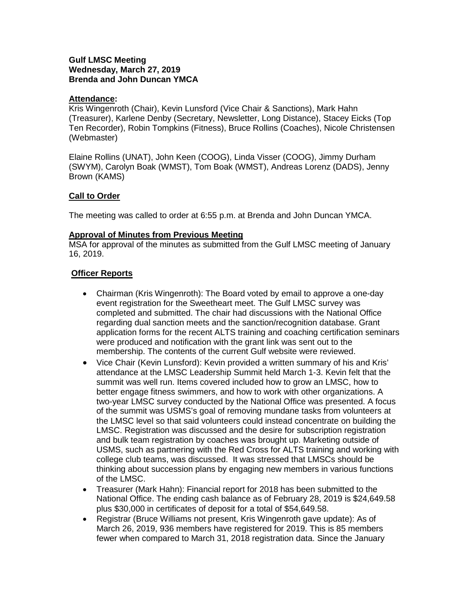### **Gulf LMSC Meeting Wednesday, March 27, 2019 Brenda and John Duncan YMCA**

### **Attendance:**

Kris Wingenroth (Chair), Kevin Lunsford (Vice Chair & Sanctions), Mark Hahn (Treasurer), Karlene Denby (Secretary, Newsletter, Long Distance), Stacey Eicks (Top Ten Recorder), Robin Tompkins (Fitness), Bruce Rollins (Coaches), Nicole Christensen (Webmaster)

Elaine Rollins (UNAT), John Keen (COOG), Linda Visser (COOG), Jimmy Durham (SWYM), Carolyn Boak (WMST), Tom Boak (WMST), Andreas Lorenz (DADS), Jenny Brown (KAMS)

# **Call to Order**

The meeting was called to order at 6:55 p.m. at Brenda and John Duncan YMCA.

# **Approval of Minutes from Previous Meeting**

MSA for approval of the minutes as submitted from the Gulf LMSC meeting of January 16, 2019.

# **Officer Reports**

- Chairman (Kris Wingenroth): The Board voted by email to approve a one-day event registration for the Sweetheart meet. The Gulf LMSC survey was completed and submitted. The chair had discussions with the National Office regarding dual sanction meets and the sanction/recognition database. Grant application forms for the recent ALTS training and coaching certification seminars were produced and notification with the grant link was sent out to the membership. The contents of the current Gulf website were reviewed.
- Vice Chair (Kevin Lunsford): Kevin provided a written summary of his and Kris' attendance at the LMSC Leadership Summit held March 1-3. Kevin felt that the summit was well run. Items covered included how to grow an LMSC, how to better engage fitness swimmers, and how to work with other organizations. A two-year LMSC survey conducted by the National Office was presented. A focus of the summit was USMS's goal of removing mundane tasks from volunteers at the LMSC level so that said volunteers could instead concentrate on building the LMSC. Registration was discussed and the desire for subscription registration and bulk team registration by coaches was brought up. Marketing outside of USMS, such as partnering with the Red Cross for ALTS training and working with college club teams, was discussed. It was stressed that LMSCs should be thinking about succession plans by engaging new members in various functions of the LMSC.
- Treasurer (Mark Hahn): Financial report for 2018 has been submitted to the National Office. The ending cash balance as of February 28, 2019 is \$24,649.58 plus \$30,000 in certificates of deposit for a total of \$54,649.58.
- Registrar (Bruce Williams not present, Kris Wingenroth gave update): As of March 26, 2019, 936 members have registered for 2019. This is 85 members fewer when compared to March 31, 2018 registration data. Since the January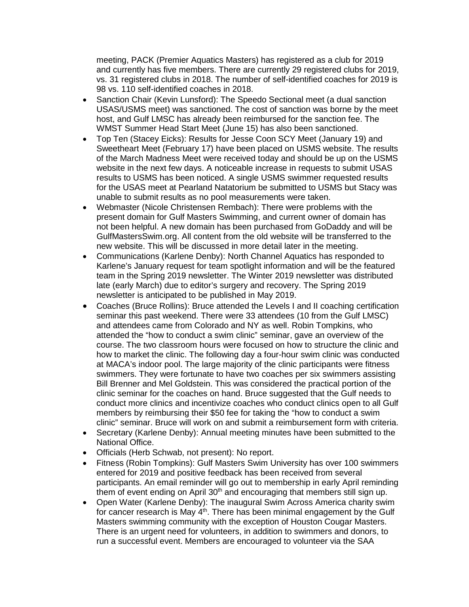meeting, PACK (Premier Aquatics Masters) has registered as a club for 2019 and currently has five members. There are currently 29 registered clubs for 2019, vs. 31 registered clubs in 2018. The number of self-identified coaches for 2019 is 98 vs. 110 self-identified coaches in 2018.

- Sanction Chair (Kevin Lunsford): The Speedo Sectional meet (a dual sanction USAS/USMS meet) was sanctioned. The cost of sanction was borne by the meet host, and Gulf LMSC has already been reimbursed for the sanction fee. The WMST Summer Head Start Meet (June 15) has also been sanctioned.
- Top Ten (Stacey Eicks): Results for Jesse Coon SCY Meet (January 19) and Sweetheart Meet (February 17) have been placed on USMS website. The results of the March Madness Meet were received today and should be up on the USMS website in the next few days. A noticeable increase in requests to submit USAS results to USMS has been noticed. A single USMS swimmer requested results for the USAS meet at Pearland Natatorium be submitted to USMS but Stacy was unable to submit results as no pool measurements were taken.
- Webmaster (Nicole Christensen Rembach): There were problems with the present domain for Gulf Masters Swimming, and current owner of domain has not been helpful. A new domain has been purchased from GoDaddy and will be GulfMastersSwim.org. All content from the old website will be transferred to the new website. This will be discussed in more detail later in the meeting.
- Communications (Karlene Denby): North Channel Aquatics has responded to Karlene's January request for team spotlight information and will be the featured team in the Spring 2019 newsletter. The Winter 2019 newsletter was distributed late (early March) due to editor's surgery and recovery. The Spring 2019 newsletter is anticipated to be published in May 2019.
- Coaches (Bruce Rollins): Bruce attended the Levels I and II coaching certification seminar this past weekend. There were 33 attendees (10 from the Gulf LMSC) and attendees came from Colorado and NY as well. Robin Tompkins, who attended the "how to conduct a swim clinic" seminar, gave an overview of the course. The two classroom hours were focused on how to structure the clinic and how to market the clinic. The following day a four-hour swim clinic was conducted at MACA's indoor pool. The large majority of the clinic participants were fitness swimmers. They were fortunate to have two coaches per six swimmers assisting Bill Brenner and Mel Goldstein. This was considered the practical portion of the clinic seminar for the coaches on hand. Bruce suggested that the Gulf needs to conduct more clinics and incentivize coaches who conduct clinics open to all Gulf members by reimbursing their \$50 fee for taking the "how to conduct a swim clinic" seminar. Bruce will work on and submit a reimbursement form with criteria.
- Secretary (Karlene Denby): Annual meeting minutes have been submitted to the National Office.
- Officials (Herb Schwab, not present): No report.
- Fitness (Robin Tompkins): Gulf Masters Swim University has over 100 swimmers entered for 2019 and positive feedback has been received from several participants. An email reminder will go out to membership in early April reminding them of event ending on April 30<sup>th</sup> and encouraging that members still sign up.
- Open Water (Karlene Denby): The inaugural Swim Across America charity swim for cancer research is May  $4<sup>th</sup>$ . There has been minimal engagement by the Gulf Masters swimming community with the exception of Houston Cougar Masters. There is an urgent need for volunteers, in addition to swimmers and donors, to run a successful event. Members are encouraged to volunteer via the SAA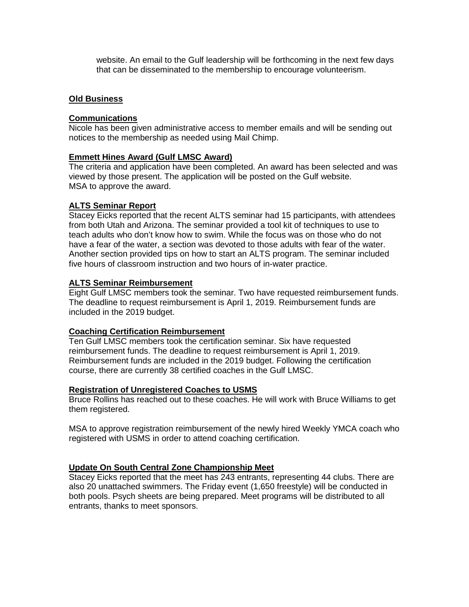website. An email to the Gulf leadership will be forthcoming in the next few days that can be disseminated to the membership to encourage volunteerism.

### **Old Business**

#### **Communications**

Nicole has been given administrative access to member emails and will be sending out notices to the membership as needed using Mail Chimp.

#### **Emmett Hines Award (Gulf LMSC Award)**

The criteria and application have been completed. An award has been selected and was viewed by those present. The application will be posted on the Gulf website. MSA to approve the award.

### **ALTS Seminar Report**

Stacey Eicks reported that the recent ALTS seminar had 15 participants, with attendees from both Utah and Arizona. The seminar provided a tool kit of techniques to use to teach adults who don't know how to swim. While the focus was on those who do not have a fear of the water, a section was devoted to those adults with fear of the water. Another section provided tips on how to start an ALTS program. The seminar included five hours of classroom instruction and two hours of in-water practice.

#### **ALTS Seminar Reimbursement**

Eight Gulf LMSC members took the seminar. Two have requested reimbursement funds. The deadline to request reimbursement is April 1, 2019. Reimbursement funds are included in the 2019 budget.

# **Coaching Certification Reimbursement**

Ten Gulf LMSC members took the certification seminar. Six have requested reimbursement funds. The deadline to request reimbursement is April 1, 2019. Reimbursement funds are included in the 2019 budget. Following the certification course, there are currently 38 certified coaches in the Gulf LMSC.

#### **Registration of Unregistered Coaches to USMS**

Bruce Rollins has reached out to these coaches. He will work with Bruce Williams to get them registered.

MSA to approve registration reimbursement of the newly hired Weekly YMCA coach who registered with USMS in order to attend coaching certification.

# **Update On South Central Zone Championship Meet**

Stacey Eicks reported that the meet has 243 entrants, representing 44 clubs. There are also 20 unattached swimmers. The Friday event (1,650 freestyle) will be conducted in both pools. Psych sheets are being prepared. Meet programs will be distributed to all entrants, thanks to meet sponsors.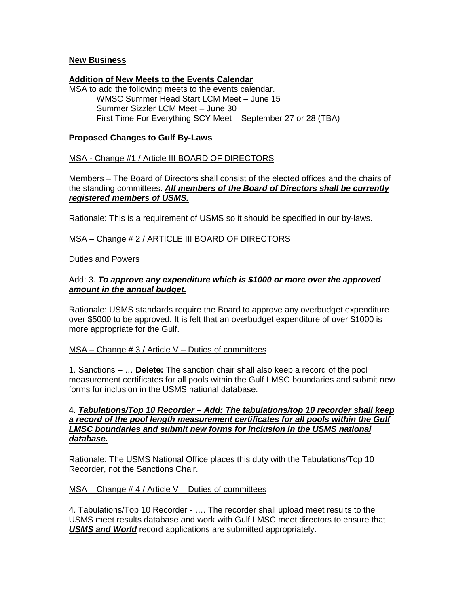### **New Business**

#### **Addition of New Meets to the Events Calendar**

MSA to add the following meets to the events calendar. WMSC Summer Head Start LCM Meet – June 15 Summer Sizzler LCM Meet – June 30 First Time For Everything SCY Meet – September 27 or 28 (TBA)

### **Proposed Changes to Gulf By-Laws**

### MSA - Change #1 / Article III BOARD OF DIRECTORS

Members – The Board of Directors shall consist of the elected offices and the chairs of the standing committees. *All members of the Board of Directors shall be currently registered members of USMS.*

Rationale: This is a requirement of USMS so it should be specified in our by-laws.

# MSA – Change # 2 / ARTICLE III BOARD OF DIRECTORS

Duties and Powers

#### Add: 3. *To approve any expenditure which is \$1000 or more over the approved amount in the annual budget.*

Rationale: USMS standards require the Board to approve any overbudget expenditure over \$5000 to be approved. It is felt that an overbudget expenditure of over \$1000 is more appropriate for the Gulf.

#### $MSA - Change # 3 / Article V - Duties of committees$

1. Sanctions – … **Delete:** The sanction chair shall also keep a record of the pool measurement certificates for all pools within the Gulf LMSC boundaries and submit new forms for inclusion in the USMS national database.

### 4. *Tabulations/Top 10 Recorder – Add: The tabulations/top 10 recorder shall keep a record of the pool length measurement certificates for all pools within the Gulf LMSC boundaries and submit new forms for inclusion in the USMS national database.*

Rationale: The USMS National Office places this duty with the Tabulations/Top 10 Recorder, not the Sanctions Chair.

#### $MSA - Change # 4 / Article V - Duties of committees$

4. Tabulations/Top 10 Recorder - …. The recorder shall upload meet results to the USMS meet results database and work with Gulf LMSC meet directors to ensure that *USMS and World* record applications are submitted appropriately.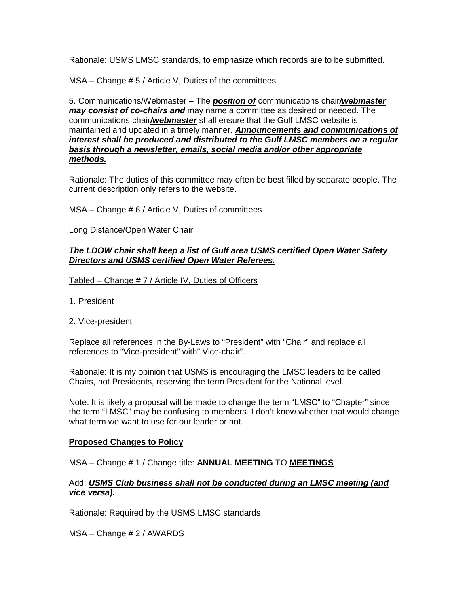Rationale: USMS LMSC standards, to emphasize which records are to be submitted.

### MSA – Change # 5 / Article V, Duties of the committees

5. Communications/Webmaster – The *position of* communications chair*/webmaster may consist of co-chairs and* may name a committee as desired or needed. The communications chair*/webmaster* shall ensure that the Gulf LMSC website is maintained and updated in a timely manner. *Announcements and communications of interest shall be produced and distributed to the Gulf LMSC members on a regular basis through a newsletter, emails, social media and/or other appropriate methods.*

Rationale: The duties of this committee may often be best filled by separate people. The current description only refers to the website.

MSA – Change # 6 / Article V, Duties of committees

Long Distance/Open Water Chair

### *The LDOW chair shall keep a list of Gulf area USMS certified Open Water Safety Directors and USMS certified Open Water Referees.*

Tabled – Change # 7 / Article IV, Duties of Officers

- 1. President
- 2. Vice-president

Replace all references in the By-Laws to "President" with "Chair" and replace all references to "Vice-president" with" Vice-chair".

Rationale: It is my opinion that USMS is encouraging the LMSC leaders to be called Chairs, not Presidents, reserving the term President for the National level.

Note: It is likely a proposal will be made to change the term "LMSC" to "Chapter" since the term "LMSC" may be confusing to members. I don't know whether that would change what term we want to use for our leader or not.

#### **Proposed Changes to Policy**

MSA – Change # 1 / Change title: **ANNUAL MEETING** TO **MEETINGS**

# Add: *USMS Club business shall not be conducted during an LMSC meeting (and vice versa).*

Rationale: Required by the USMS LMSC standards

MSA – Change # 2 / AWARDS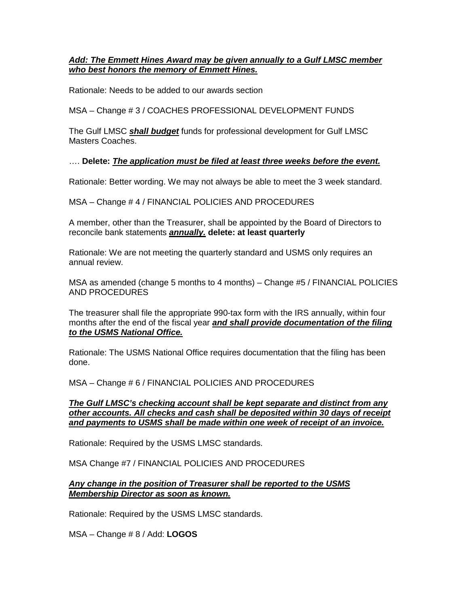# *Add: The Emmett Hines Award may be given annually to a Gulf LMSC member who best honors the memory of Emmett Hines.*

Rationale: Needs to be added to our awards section

MSA – Change # 3 / COACHES PROFESSIONAL DEVELOPMENT FUNDS

The Gulf LMSC *shall budget* funds for professional development for Gulf LMSC Masters Coaches.

# …. **Delete:** *The application must be filed at least three weeks before the event.*

Rationale: Better wording. We may not always be able to meet the 3 week standard.

MSA – Change # 4 / FINANCIAL POLICIES AND PROCEDURES

A member, other than the Treasurer, shall be appointed by the Board of Directors to reconcile bank statements *annually.* **delete: at least quarterly**

Rationale: We are not meeting the quarterly standard and USMS only requires an annual review.

MSA as amended (change 5 months to 4 months) – Change #5 / FINANCIAL POLICIES AND PROCEDURES

The treasurer shall file the appropriate 990-tax form with the IRS annually, within four months after the end of the fiscal year *and shall provide documentation of the filing to the USMS National Office.*

Rationale: The USMS National Office requires documentation that the filing has been done.

MSA – Change # 6 / FINANCIAL POLICIES AND PROCEDURES

*The Gulf LMSC's checking account shall be kept separate and distinct from any other accounts. All checks and cash shall be deposited within 30 days of receipt and payments to USMS shall be made within one week of receipt of an invoice.*

Rationale: Required by the USMS LMSC standards.

MSA Change #7 / FINANCIAL POLICIES AND PROCEDURES

### *Any change in the position of Treasurer shall be reported to the USMS Membership Director as soon as known.*

Rationale: Required by the USMS LMSC standards.

MSA – Change # 8 / Add: **LOGOS**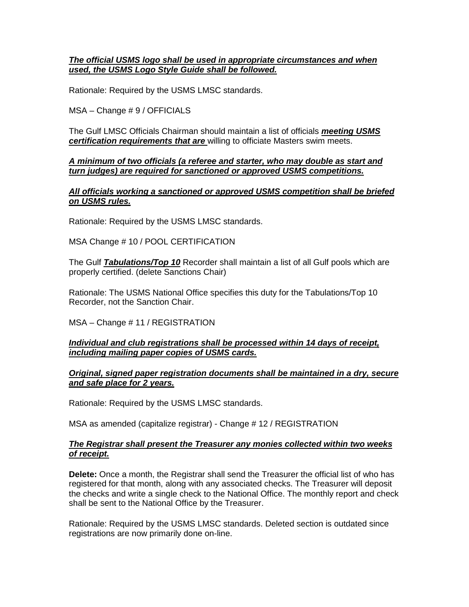## *The official USMS logo shall be used in appropriate circumstances and when used, the USMS Logo Style Guide shall be followed.*

Rationale: Required by the USMS LMSC standards.

MSA – Change # 9 / OFFICIALS

The Gulf LMSC Officials Chairman should maintain a list of officials *meeting USMS certification requirements that are* willing to officiate Masters swim meets.

### *A minimum of two officials (a referee and starter, who may double as start and turn judges) are required for sanctioned or approved USMS competitions.*

### *All officials working a sanctioned or approved USMS competition shall be briefed on USMS rules.*

Rationale: Required by the USMS LMSC standards.

### MSA Change # 10 / POOL CERTIFICATION

The Gulf *Tabulations/Top 10* Recorder shall maintain a list of all Gulf pools which are properly certified. (delete Sanctions Chair)

Rationale: The USMS National Office specifies this duty for the Tabulations/Top 10 Recorder, not the Sanction Chair.

# MSA – Change # 11 / REGISTRATION

### *Individual and club registrations shall be processed within 14 days of receipt, including mailing paper copies of USMS cards.*

### *Original, signed paper registration documents shall be maintained in a dry, secure and safe place for 2 years.*

Rationale: Required by the USMS LMSC standards.

MSA as amended (capitalize registrar) - Change # 12 / REGISTRATION

### *The Registrar shall present the Treasurer any monies collected within two weeks of receipt.*

**Delete:** Once a month, the Registrar shall send the Treasurer the official list of who has registered for that month, along with any associated checks. The Treasurer will deposit the checks and write a single check to the National Office. The monthly report and check shall be sent to the National Office by the Treasurer.

Rationale: Required by the USMS LMSC standards. Deleted section is outdated since registrations are now primarily done on-line.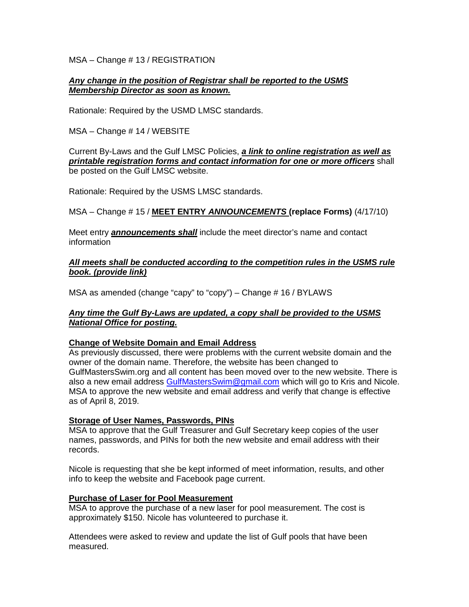MSA – Change # 13 / REGISTRATION

## *Any change in the position of Registrar shall be reported to the USMS Membership Director as soon as known.*

Rationale: Required by the USMD LMSC standards.

MSA – Change # 14 / WEBSITE

Current By-Laws and the Gulf LMSC Policies, *a link to online registration as well as printable registration forms and contact information for one or more officers* shall be posted on the Gulf LMSC website.

Rationale: Required by the USMS LMSC standards.

# MSA – Change # 15 / **MEET ENTRY** *ANNOUNCEMENTS* **(replace Forms)** (4/17/10)

Meet entry *announcements shall* include the meet director's name and contact information

*All meets shall be conducted according to the competition rules in the USMS rule book. (provide link)*

MSA as amended (change "capy" to "copy") – Change # 16 / BYLAWS

# *Any time the Gulf By-Laws are updated, a copy shall be provided to the USMS National Office for posting.*

#### **Change of Website Domain and Email Address**

As previously discussed, there were problems with the current website domain and the owner of the domain name. Therefore, the website has been changed to GulfMastersSwim.org and all content has been moved over to the new website. There is also a new email address [GulfMastersSwim@gmail.com](mailto:GulfMastersSwim@gmail.com) which will go to Kris and Nicole. MSA to approve the new website and email address and verify that change is effective as of April 8, 2019.

#### **Storage of User Names, Passwords, PINs**

MSA to approve that the Gulf Treasurer and Gulf Secretary keep copies of the user names, passwords, and PINs for both the new website and email address with their records.

Nicole is requesting that she be kept informed of meet information, results, and other info to keep the website and Facebook page current.

#### **Purchase of Laser for Pool Measurement**

MSA to approve the purchase of a new laser for pool measurement. The cost is approximately \$150. Nicole has volunteered to purchase it.

Attendees were asked to review and update the list of Gulf pools that have been measured.